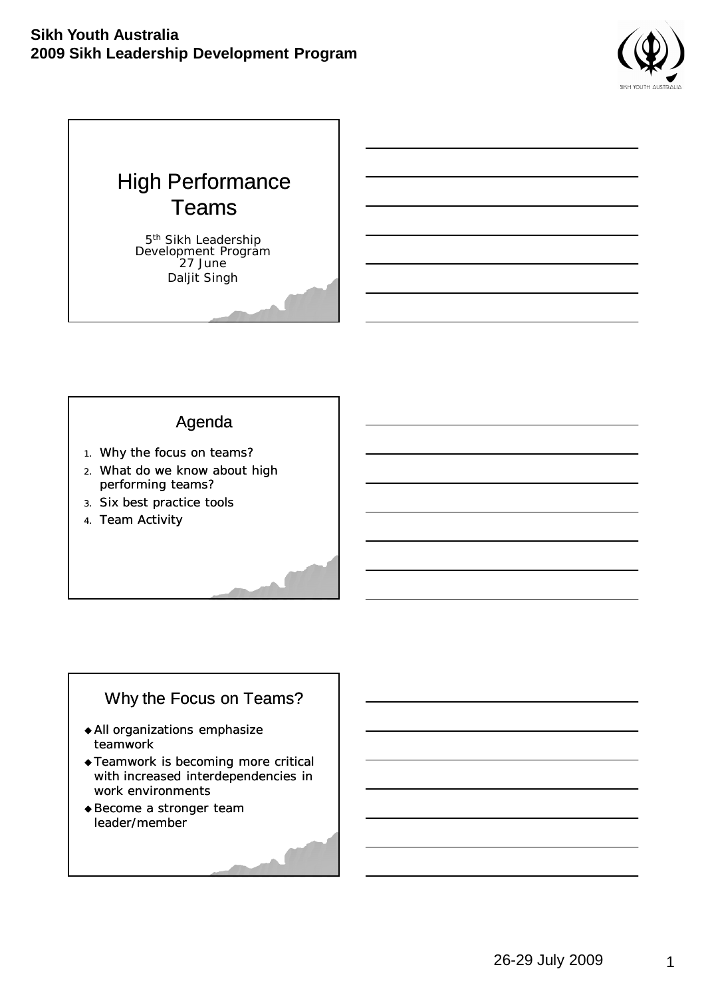



### Agenda

- 1. Why the focus on teams?
- 2. What do we know about high performing teams?
- 3. Six best practice tools
- 4. Team Activity

## Why the Focus on Teams?

- All organizations emphasize teamwork
- Teamwork is becoming more critical with increased interdependencies in work environments
- Become a stronger team leader/member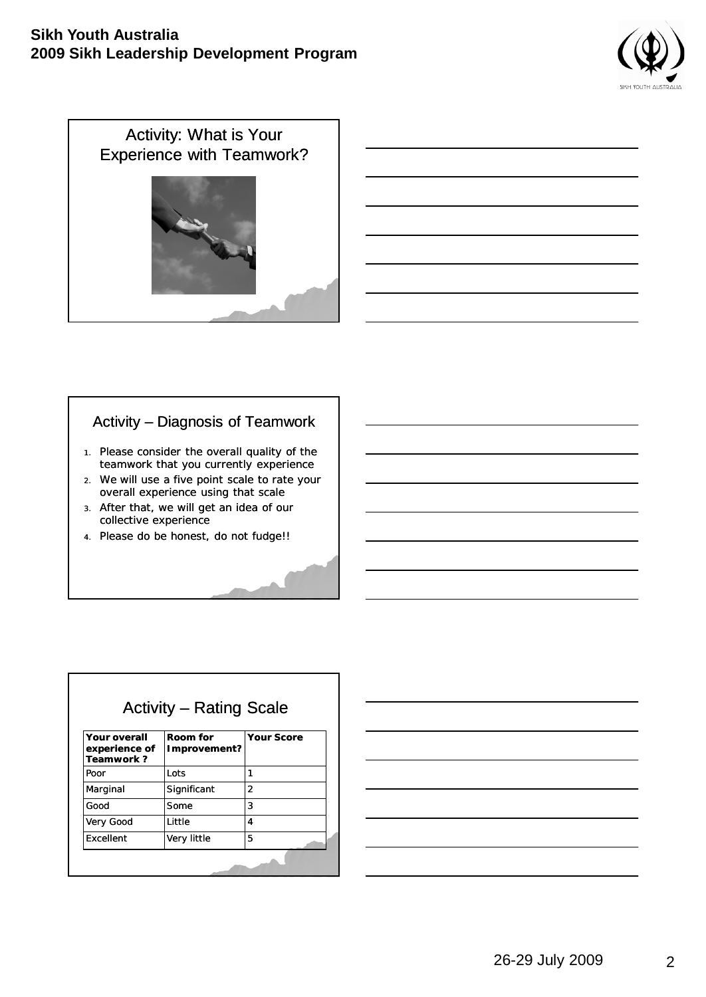

Activity: What is Your Experience with Teamwork?

## Activity – Diagnosis of Teamwork

- 1. Please consider the overall quality of the teamwork that you currently experience
- 2. We will use a five point scale to rate your overall experience using that scale
- 3. After that, we will get an idea of our collective experience
- 4. Please do be honest, do not fudge!!

## Activity – Rating Scale

| <b>Your overall</b><br>experience of<br>Teamwork? | Room for<br>Improvement? | <b>Your Score</b> |
|---------------------------------------------------|--------------------------|-------------------|
| Poor                                              | Lots                     |                   |
| Marginal                                          | Significant              | $\overline{2}$    |
| Good                                              | Some                     | 3                 |
| Very Good                                         | Little                   | 4                 |
| Excellent                                         | Very little              | 5                 |
|                                                   |                          |                   |

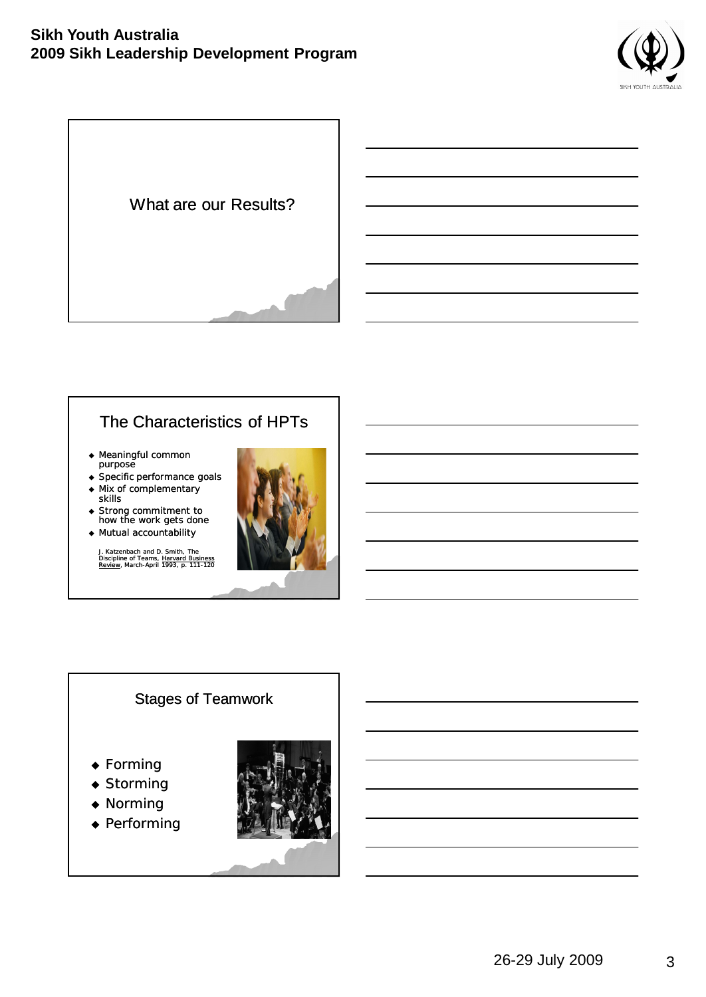

What are our Results?

# The Characteristics of HPTs

- ◆ Meaningful common purpose
- Specific performance goals
- Mix of complementary skills
- ◆ Strong commitment to how the work gets done
- Mutual accountability

*J. Katzenbach and D. Smith, The Discipline of Teams, Harvard Business Review, March-April 1993, p. 111-120*



## Stages of Teamwork

- ◆ Forming
- ◆ Storming
- ◆ Norming
- ◆ Performing

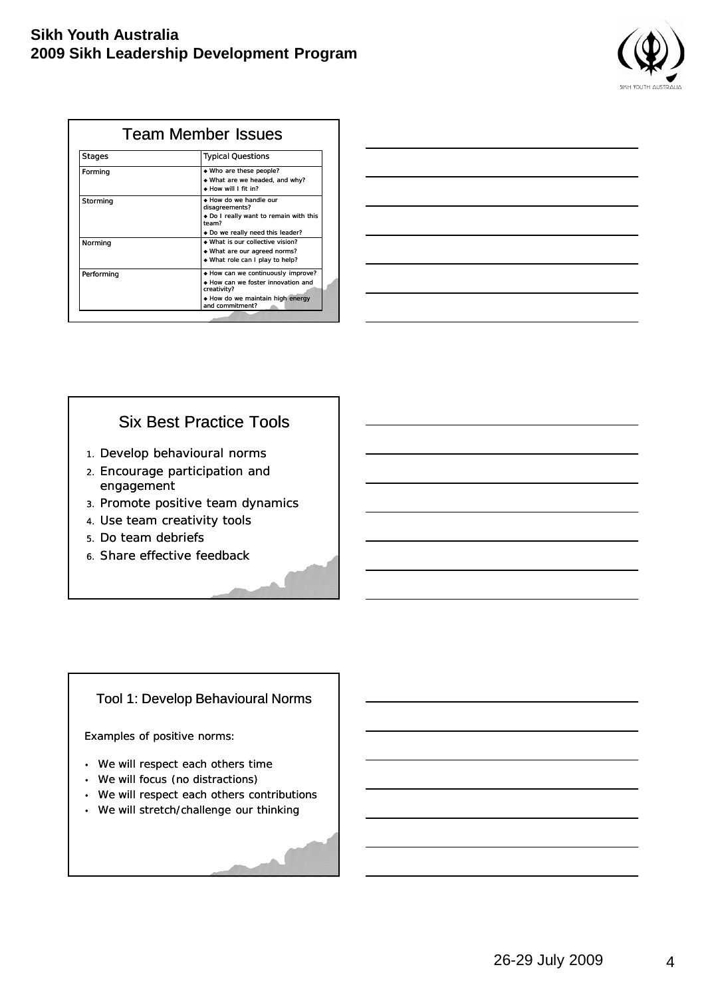| <b>SIKH YOUTH AUSTRALIA</b> |
|-----------------------------|

| <b>Stages</b> | <b>Typical Questions</b>                                                                |
|---------------|-----------------------------------------------------------------------------------------|
| Forming       | • Who are these people?<br>What are we headed, and why?<br>$\bullet$ How will I fit in? |
| Storming      | • How do we handle our<br>disagreements?                                                |
|               | • Do I really want to remain with this<br>team?<br>◆ Do we really need this leader?     |
| Norming       | • What is our collective vision?                                                        |
|               | • What are our agreed norms?<br>• What role can I play to help?                         |
| Performing    | • How can we continuously improve?<br>• How can we foster innovation and<br>creativity? |
|               | • How do we maintain high energy<br>and commitment?                                     |

| <u> 1989 - Johann Barn, mars ann an t-Amhainn an t-Amhainn an t-Amhainn an t-Amhainn an t-Amhainn an t-Amhainn an </u> |  |  |
|------------------------------------------------------------------------------------------------------------------------|--|--|
|                                                                                                                        |  |  |
| <u> 1989 - Johann Barn, mars ann an t-Amhainn an t-Amhainn an t-Amhainn an t-Amhainn an t-Amhainn an t-Amhainn an</u>  |  |  |
| <u> 1980 - Johann Barn, amerikansk politiker (d. 1980)</u>                                                             |  |  |
| <u> 1989 - Johann Barn, mars ann an t-Amhainn an t-Amhainn an t-Amhainn an t-Amhainn an t-Amhainn an t-Amhainn an </u> |  |  |
| <u> 1989 - Johann Barn, mars ann an t-Amhain Aonaichte ann an t-Aonaichte ann an t-Aonaichte ann an t-Aonaichte a</u>  |  |  |
|                                                                                                                        |  |  |

### Six Best Practice Tools

- 1. Develop behavioural norms
- 2. Encourage participation and engagement
- 3. Promote positive team dynamics
- 4. Use team creativity tools
- 5. Do team debriefs
- 6. Share effective feedback

#### Tool 1: Develop Behavioural Norms

Examples of positive norms:

- We will respect each others time
- We will focus (no distractions)
- We will respect each others contributions
- We will stretch/challenge our thinking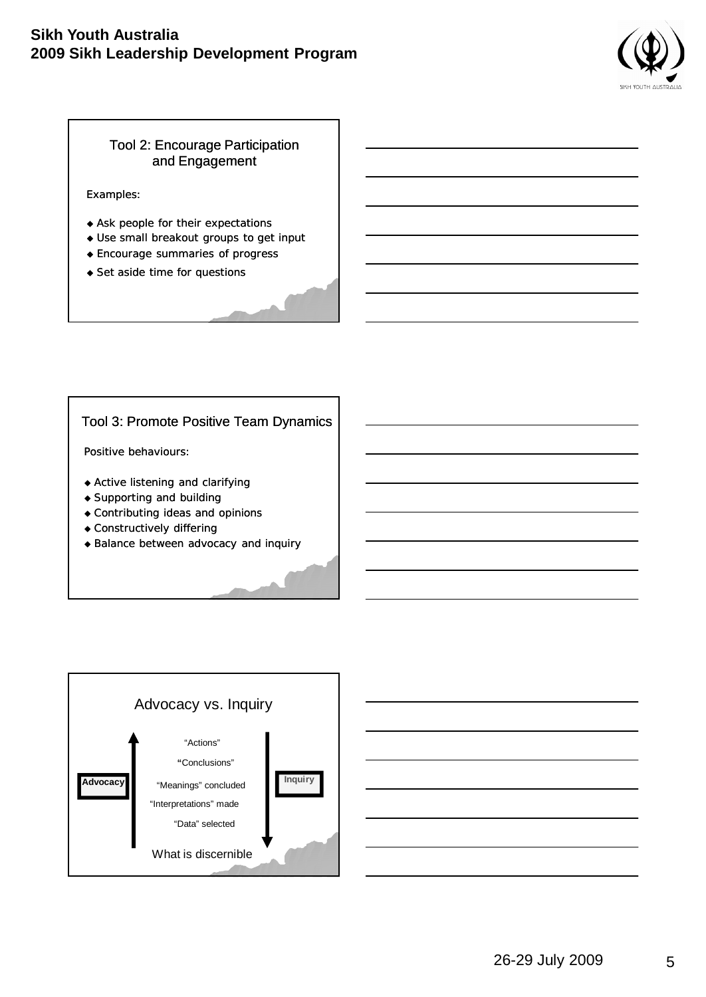

### Tool 2: Encourage Participation and Engagement

Examples:

- Ask people for their expectations
- Use small breakout groups to get input
- Encourage summaries of progress
- ◆ Set aside time for questions

#### Tool 3: Promote Positive Team Dynamics

Positive behaviours:

- Active listening and clarifying
- Supporting and building
- Contributing ideas and opinions
- Constructively differing
- ◆ Balance between advocacy and inquiry

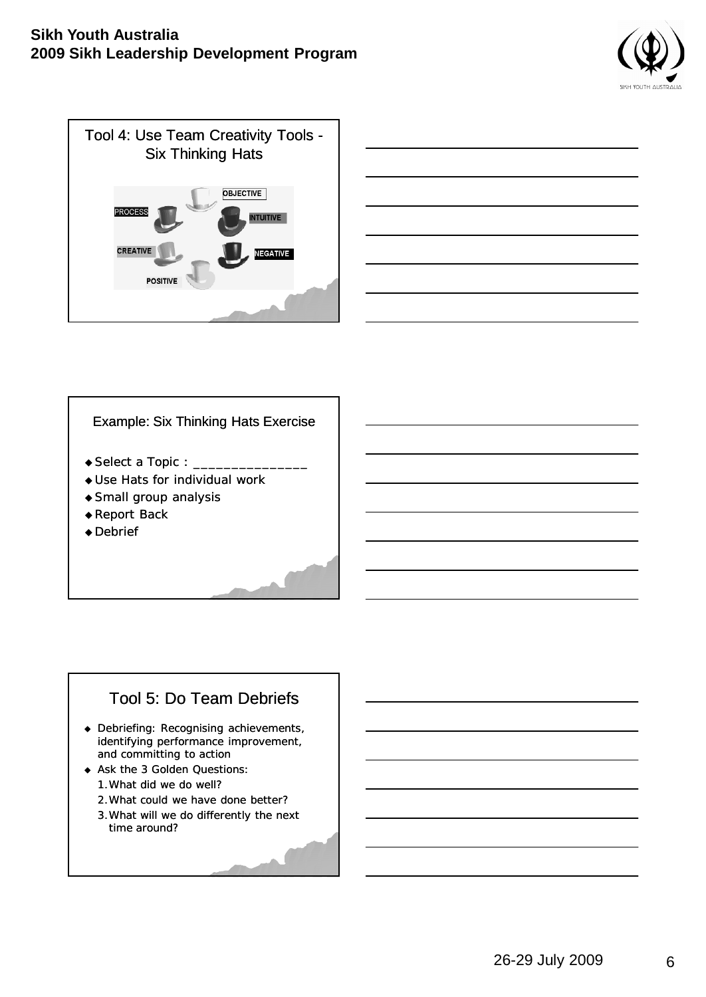





#### Example: Six Thinking Hats Exercise

- $\bullet$  Select a Topic :  $\_$
- Use Hats for individual work
- Small group analysis
- ◆ Report Back
- ◆ Debrief

## Tool 5: Do Team Debriefs

- Debriefing: Recognising achievements, identifying performance improvement, and committing to action
- Ask the 3 Golden Questions: 1.What did we do well?
	- 2.What could we have done better?
	- 3.What will we do differently the next time around?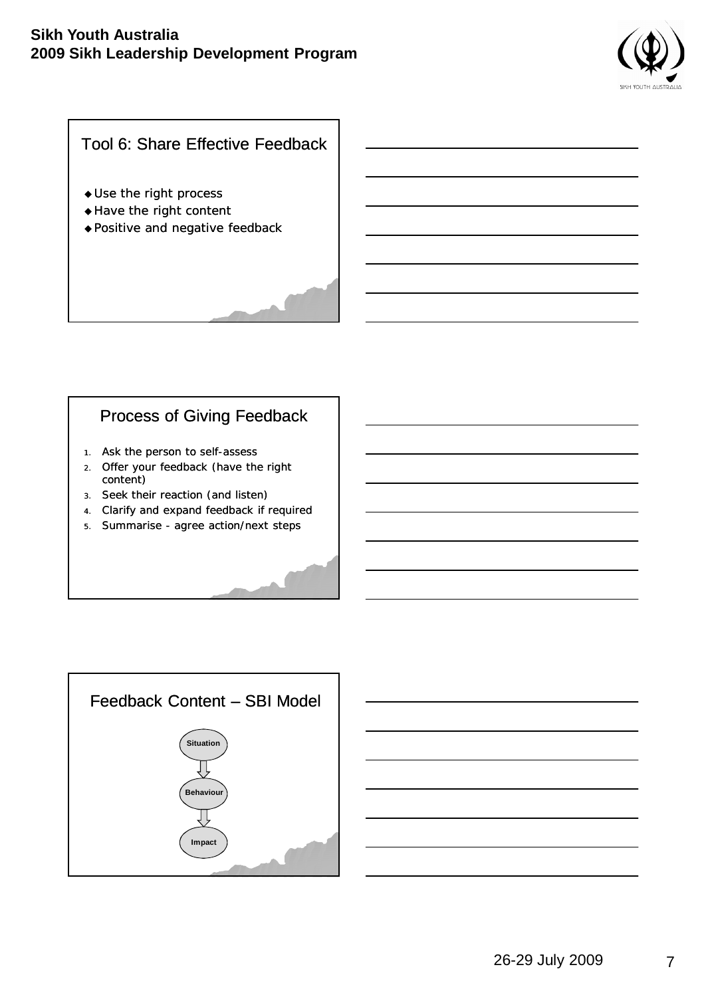

## Tool 6: Share Effective Feedback

- Use the right process
- ◆ Have the right content
- Positive and negative feedback

### Process of Giving Feedback

- 1. Ask the person to self-assess
- 2. Offer your feedback (have the right content)
- 3. Seek their reaction (and listen)
- 4. Clarify and expand feedback if required
- 5. Summarise agree action/next steps



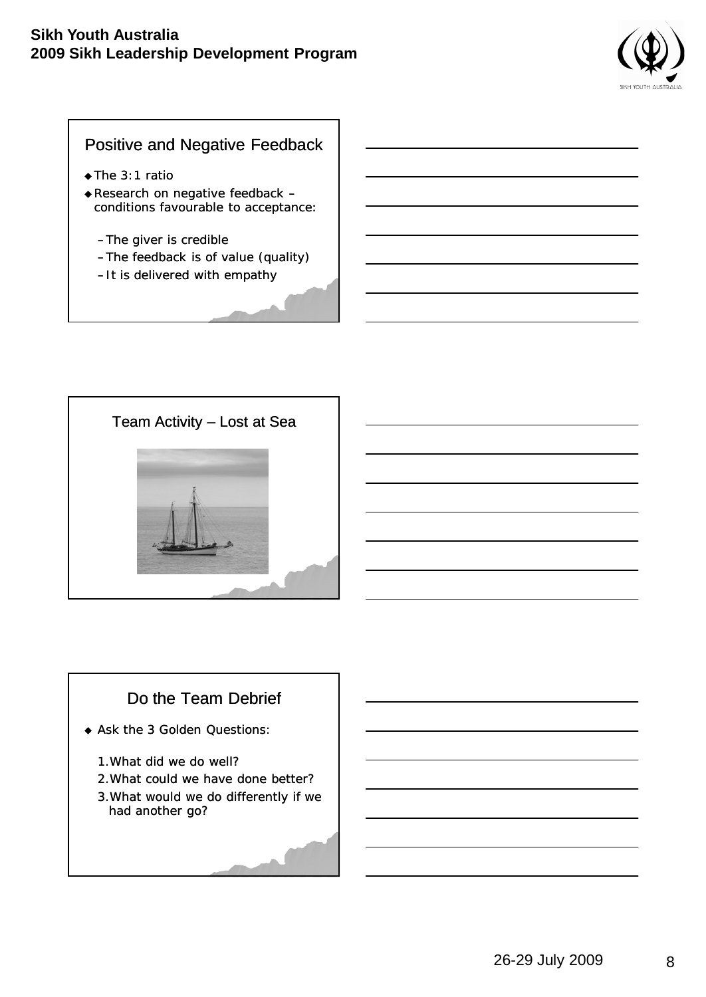

### Positive and Negative Feedback

- ◆The 3:1 ratio
- Research on negative feedback conditions favourable to acceptance:
	- –The giver is credible
	- –The feedback is of value (quality)
	- –It is delivered with empathy



# Do the Team Debrief

- Ask the 3 Golden Questions:
	- 1.What did we do well?
	- 2.What could we have done better?
	- 3.What would we do differently if we had another go?